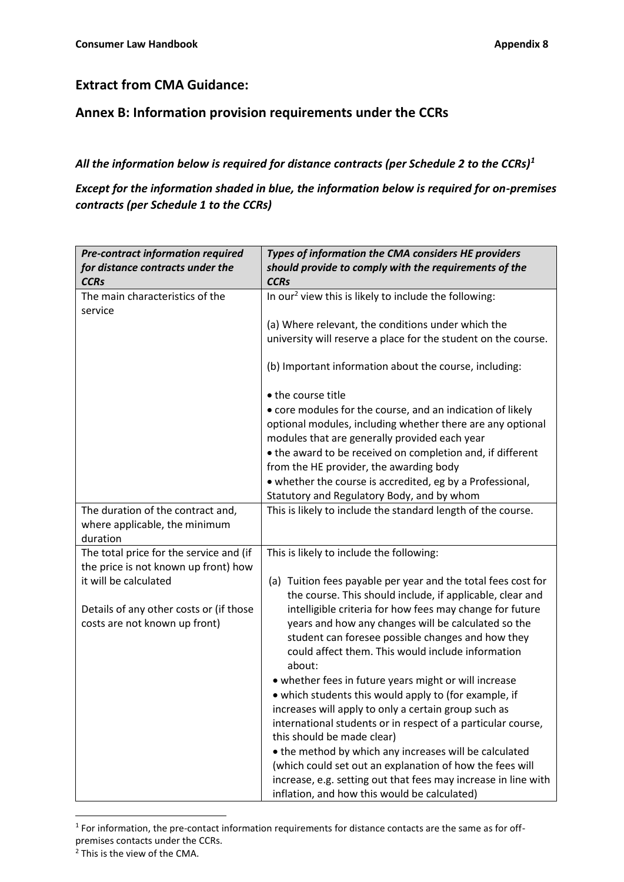## **Extract from CMA Guidance:**

## **Annex B: Information provision requirements under the CCRs**

## *All the information below is required for distance contracts (per Schedule 2 to the CCRs)<sup>1</sup>*

## *Except for the information shaded in blue, the information below is required for on-premises contracts (per Schedule 1 to the CCRs)*

| <b>Pre-contract information required</b>   | Types of information the CMA considers HE providers                                                                                                                                                                                                                                                                                                                                                                                                 |
|--------------------------------------------|-----------------------------------------------------------------------------------------------------------------------------------------------------------------------------------------------------------------------------------------------------------------------------------------------------------------------------------------------------------------------------------------------------------------------------------------------------|
| for distance contracts under the           | should provide to comply with the requirements of the                                                                                                                                                                                                                                                                                                                                                                                               |
| <b>CCRs</b>                                | <b>CCRs</b>                                                                                                                                                                                                                                                                                                                                                                                                                                         |
| The main characteristics of the<br>service | In our <sup>2</sup> view this is likely to include the following:                                                                                                                                                                                                                                                                                                                                                                                   |
|                                            | (a) Where relevant, the conditions under which the                                                                                                                                                                                                                                                                                                                                                                                                  |
|                                            | university will reserve a place for the student on the course.                                                                                                                                                                                                                                                                                                                                                                                      |
|                                            |                                                                                                                                                                                                                                                                                                                                                                                                                                                     |
|                                            | (b) Important information about the course, including:                                                                                                                                                                                                                                                                                                                                                                                              |
|                                            | • the course title                                                                                                                                                                                                                                                                                                                                                                                                                                  |
|                                            | • core modules for the course, and an indication of likely                                                                                                                                                                                                                                                                                                                                                                                          |
|                                            | optional modules, including whether there are any optional                                                                                                                                                                                                                                                                                                                                                                                          |
|                                            | modules that are generally provided each year                                                                                                                                                                                                                                                                                                                                                                                                       |
|                                            | • the award to be received on completion and, if different                                                                                                                                                                                                                                                                                                                                                                                          |
|                                            | from the HE provider, the awarding body                                                                                                                                                                                                                                                                                                                                                                                                             |
|                                            | • whether the course is accredited, eg by a Professional,                                                                                                                                                                                                                                                                                                                                                                                           |
|                                            | Statutory and Regulatory Body, and by whom                                                                                                                                                                                                                                                                                                                                                                                                          |
| The duration of the contract and,          | This is likely to include the standard length of the course.                                                                                                                                                                                                                                                                                                                                                                                        |
| where applicable, the minimum              |                                                                                                                                                                                                                                                                                                                                                                                                                                                     |
| duration                                   |                                                                                                                                                                                                                                                                                                                                                                                                                                                     |
| The total price for the service and (if    | This is likely to include the following:                                                                                                                                                                                                                                                                                                                                                                                                            |
| the price is not known up front) how       |                                                                                                                                                                                                                                                                                                                                                                                                                                                     |
| it will be calculated                      | (a) Tuition fees payable per year and the total fees cost for                                                                                                                                                                                                                                                                                                                                                                                       |
|                                            | the course. This should include, if applicable, clear and                                                                                                                                                                                                                                                                                                                                                                                           |
| Details of any other costs or (if those    | intelligible criteria for how fees may change for future                                                                                                                                                                                                                                                                                                                                                                                            |
| costs are not known up front)              | years and how any changes will be calculated so the                                                                                                                                                                                                                                                                                                                                                                                                 |
|                                            | student can foresee possible changes and how they                                                                                                                                                                                                                                                                                                                                                                                                   |
|                                            | could affect them. This would include information                                                                                                                                                                                                                                                                                                                                                                                                   |
|                                            | about:                                                                                                                                                                                                                                                                                                                                                                                                                                              |
|                                            | • whether fees in future years might or will increase                                                                                                                                                                                                                                                                                                                                                                                               |
|                                            |                                                                                                                                                                                                                                                                                                                                                                                                                                                     |
|                                            |                                                                                                                                                                                                                                                                                                                                                                                                                                                     |
|                                            |                                                                                                                                                                                                                                                                                                                                                                                                                                                     |
|                                            |                                                                                                                                                                                                                                                                                                                                                                                                                                                     |
|                                            |                                                                                                                                                                                                                                                                                                                                                                                                                                                     |
|                                            |                                                                                                                                                                                                                                                                                                                                                                                                                                                     |
|                                            |                                                                                                                                                                                                                                                                                                                                                                                                                                                     |
|                                            | . which students this would apply to (for example, if<br>increases will apply to only a certain group such as<br>international students or in respect of a particular course,<br>this should be made clear)<br>• the method by which any increases will be calculated<br>(which could set out an explanation of how the fees will<br>increase, e.g. setting out that fees may increase in line with<br>inflation, and how this would be calculated) |

<sup>&</sup>lt;sup>1</sup> For information, the pre-contact information requirements for distance contacts are the same as for offpremises contacts under the CCRs.

1

<sup>&</sup>lt;sup>2</sup> This is the view of the CMA.